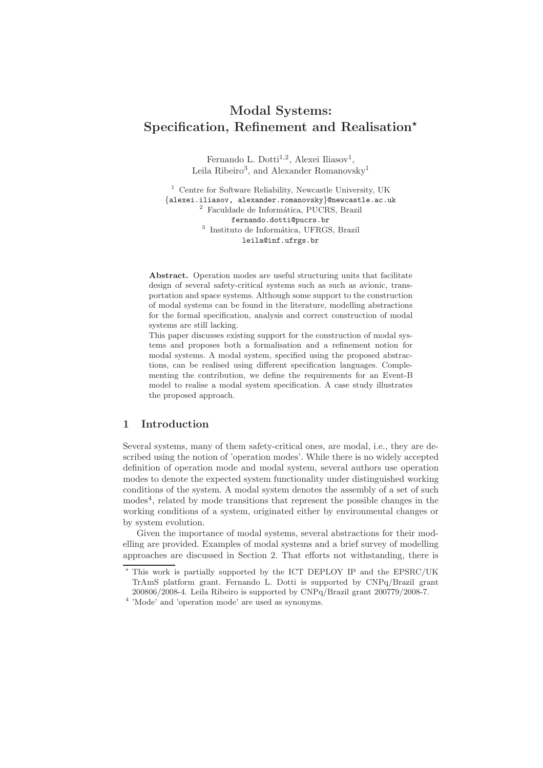# Modal Systems: Specification, Refinement and Realisation\*

Fernando L. Dotti<sup>1,2</sup>, Alexei Iliasov<sup>1</sup>, Leila Ribeiro<sup>3</sup>, and Alexander Romanovsky<sup>1</sup>

<sup>1</sup> Centre for Software Reliability, Newcastle University, UK {alexei.iliasov, alexander.romanovsky}@newcastle.ac.uk  $^2$  Faculdade de Informática, PUCRS, Brazil fernando.dotti@pucrs.br <sup>3</sup> Instituto de Informática, UFRGS, Brazil leila@inf.ufrgs.br

Abstract. Operation modes are useful structuring units that facilitate design of several safety-critical systems such as such as avionic, transportation and space systems. Although some support to the construction of modal systems can be found in the literature, modelling abstractions for the formal specification, analysis and correct construction of modal systems are still lacking.

This paper discusses existing support for the construction of modal systems and proposes both a formalisation and a refinement notion for modal systems. A modal system, specified using the proposed abstractions, can be realised using different specification languages. Complementing the contribution, we define the requirements for an Event-B model to realise a modal system specification. A case study illustrates the proposed approach.

## 1 Introduction

Several systems, many of them safety-critical ones, are modal, i.e., they are described using the notion of 'operation modes'. While there is no widely accepted definition of operation mode and modal system, several authors use operation modes to denote the expected system functionality under distinguished working conditions of the system. A modal system denotes the assembly of a set of such modes<sup>4</sup>, related by mode transitions that represent the possible changes in the working conditions of a system, originated either by environmental changes or by system evolution.

Given the importance of modal systems, several abstractions for their modelling are provided. Examples of modal systems and a brief survey of modelling approaches are discussed in Section 2. That efforts not withstanding, there is

<sup>⋆</sup> This work is partially supported by the ICT DEPLOY IP and the EPSRC/UK TrAmS platform grant. Fernando L. Dotti is supported by CNPq/Brazil grant 200806/2008-4. Leila Ribeiro is supported by CNPq/Brazil grant 200779/2008-7.

<sup>4</sup> 'Mode' and 'operation mode' are used as synonyms.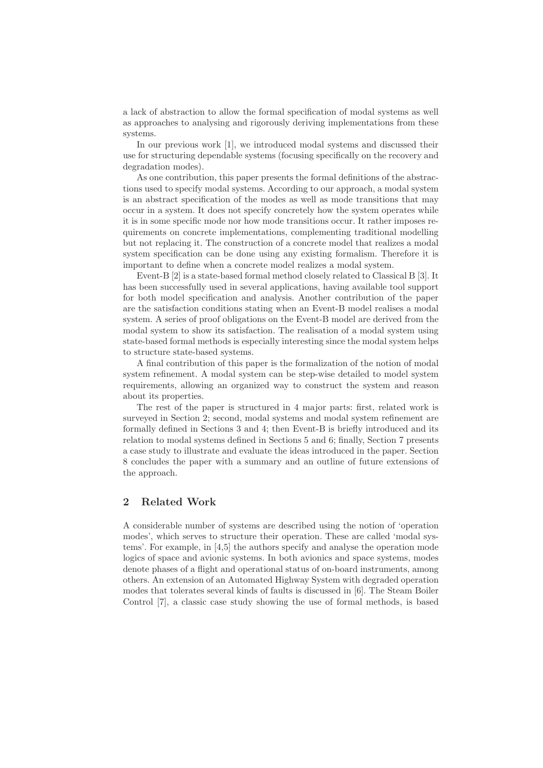a lack of abstraction to allow the formal specification of modal systems as well as approaches to analysing and rigorously deriving implementations from these systems.

In our previous work [1], we introduced modal systems and discussed their use for structuring dependable systems (focusing specifically on the recovery and degradation modes).

As one contribution, this paper presents the formal definitions of the abstractions used to specify modal systems. According to our approach, a modal system is an abstract specification of the modes as well as mode transitions that may occur in a system. It does not specify concretely how the system operates while it is in some specific mode nor how mode transitions occur. It rather imposes requirements on concrete implementations, complementing traditional modelling but not replacing it. The construction of a concrete model that realizes a modal system specification can be done using any existing formalism. Therefore it is important to define when a concrete model realizes a modal system.

Event-B [2] is a state-based formal method closely related to Classical B [3]. It has been successfully used in several applications, having available tool support for both model specification and analysis. Another contribution of the paper are the satisfaction conditions stating when an Event-B model realises a modal system. A series of proof obligations on the Event-B model are derived from the modal system to show its satisfaction. The realisation of a modal system using state-based formal methods is especially interesting since the modal system helps to structure state-based systems.

A final contribution of this paper is the formalization of the notion of modal system refinement. A modal system can be step-wise detailed to model system requirements, allowing an organized way to construct the system and reason about its properties.

The rest of the paper is structured in 4 major parts: first, related work is surveyed in Section 2; second, modal systems and modal system refinement are formally defined in Sections 3 and 4; then Event-B is briefly introduced and its relation to modal systems defined in Sections 5 and 6; finally, Section 7 presents a case study to illustrate and evaluate the ideas introduced in the paper. Section 8 concludes the paper with a summary and an outline of future extensions of the approach.

## 2 Related Work

A considerable number of systems are described using the notion of 'operation modes', which serves to structure their operation. These are called 'modal systems'. For example, in [4,5] the authors specify and analyse the operation mode logics of space and avionic systems. In both avionics and space systems, modes denote phases of a flight and operational status of on-board instruments, among others. An extension of an Automated Highway System with degraded operation modes that tolerates several kinds of faults is discussed in [6]. The Steam Boiler Control [7], a classic case study showing the use of formal methods, is based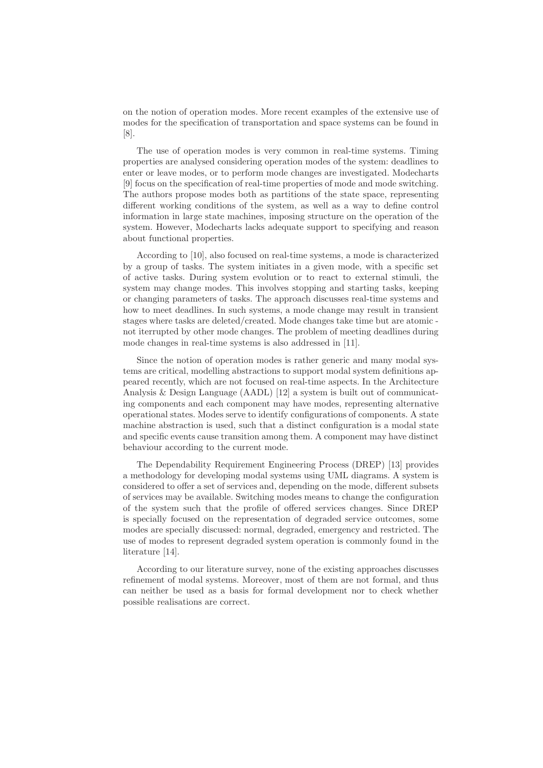on the notion of operation modes. More recent examples of the extensive use of modes for the specification of transportation and space systems can be found in [8].

The use of operation modes is very common in real-time systems. Timing properties are analysed considering operation modes of the system: deadlines to enter or leave modes, or to perform mode changes are investigated. Modecharts [9] focus on the specification of real-time properties of mode and mode switching. The authors propose modes both as partitions of the state space, representing different working conditions of the system, as well as a way to define control information in large state machines, imposing structure on the operation of the system. However, Modecharts lacks adequate support to specifying and reason about functional properties.

According to [10], also focused on real-time systems, a mode is characterized by a group of tasks. The system initiates in a given mode, with a specific set of active tasks. During system evolution or to react to external stimuli, the system may change modes. This involves stopping and starting tasks, keeping or changing parameters of tasks. The approach discusses real-time systems and how to meet deadlines. In such systems, a mode change may result in transient stages where tasks are deleted/created. Mode changes take time but are atomic not iterrupted by other mode changes. The problem of meeting deadlines during mode changes in real-time systems is also addressed in [11].

Since the notion of operation modes is rather generic and many modal systems are critical, modelling abstractions to support modal system definitions appeared recently, which are not focused on real-time aspects. In the Architecture Analysis & Design Language (AADL) [12] a system is built out of communicating components and each component may have modes, representing alternative operational states. Modes serve to identify configurations of components. A state machine abstraction is used, such that a distinct configuration is a modal state and specific events cause transition among them. A component may have distinct behaviour according to the current mode.

The Dependability Requirement Engineering Process (DREP) [13] provides a methodology for developing modal systems using UML diagrams. A system is considered to offer a set of services and, depending on the mode, different subsets of services may be available. Switching modes means to change the configuration of the system such that the profile of offered services changes. Since DREP is specially focused on the representation of degraded service outcomes, some modes are specially discussed: normal, degraded, emergency and restricted. The use of modes to represent degraded system operation is commonly found in the literature [14].

According to our literature survey, none of the existing approaches discusses refinement of modal systems. Moreover, most of them are not formal, and thus can neither be used as a basis for formal development nor to check whether possible realisations are correct.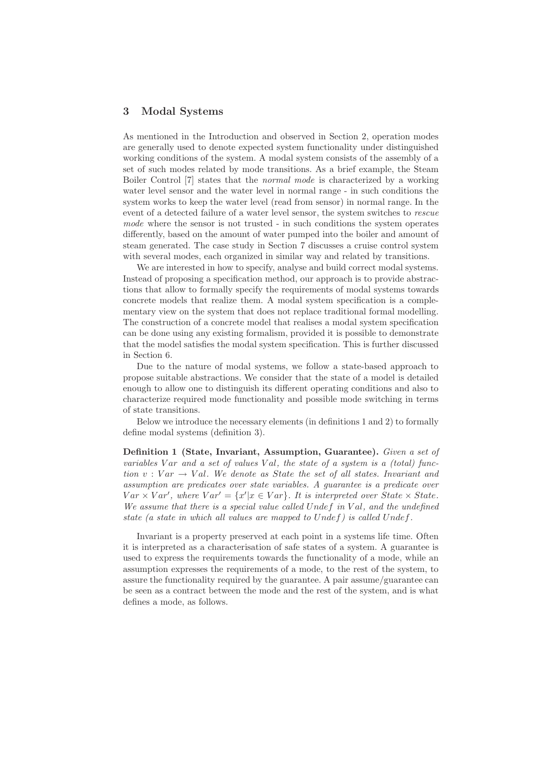## 3 Modal Systems

As mentioned in the Introduction and observed in Section 2, operation modes are generally used to denote expected system functionality under distinguished working conditions of the system. A modal system consists of the assembly of a set of such modes related by mode transitions. As a brief example, the Steam Boiler Control [7] states that the *normal mode* is characterized by a working water level sensor and the water level in normal range - in such conditions the system works to keep the water level (read from sensor) in normal range. In the event of a detected failure of a water level sensor, the system switches to *rescue mode* where the sensor is not trusted - in such conditions the system operates differently, based on the amount of water pumped into the boiler and amount of steam generated. The case study in Section 7 discusses a cruise control system with several modes, each organized in similar way and related by transitions.

We are interested in how to specify, analyse and build correct modal systems. Instead of proposing a specification method, our approach is to provide abstractions that allow to formally specify the requirements of modal systems towards concrete models that realize them. A modal system specification is a complementary view on the system that does not replace traditional formal modelling. The construction of a concrete model that realises a modal system specification can be done using any existing formalism, provided it is possible to demonstrate that the model satisfies the modal system specification. This is further discussed in Section 6.

Due to the nature of modal systems, we follow a state-based approach to propose suitable abstractions. We consider that the state of a model is detailed enough to allow one to distinguish its different operating conditions and also to characterize required mode functionality and possible mode switching in terms of state transitions.

Below we introduce the necessary elements (in definitions 1 and 2) to formally define modal systems (definition 3).

Definition 1 (State, Invariant, Assumption, Guarantee). *Given a set of variables* Var and a set of values Val, the state of a system is a (total) func*tion*  $v: Var \rightarrow Val$ *. We denote as State the set of all states. Invariant and assumption are predicates over state variables. A guarantee is a predicate over*  $Var \times Var'$ , where  $Var' = \{x' | x \in Var\}$ . It is interpreted over State  $\times$  State. *We assume that there is a special value called* Undef *in* V al*, and the undefined state (a state in which all values are mapped to* Undef*) is called* Undef*.*

Invariant is a property preserved at each point in a systems life time. Often it is interpreted as a characterisation of safe states of a system. A guarantee is used to express the requirements towards the functionality of a mode, while an assumption expresses the requirements of a mode, to the rest of the system, to assure the functionality required by the guarantee. A pair assume/guarantee can be seen as a contract between the mode and the rest of the system, and is what defines a mode, as follows.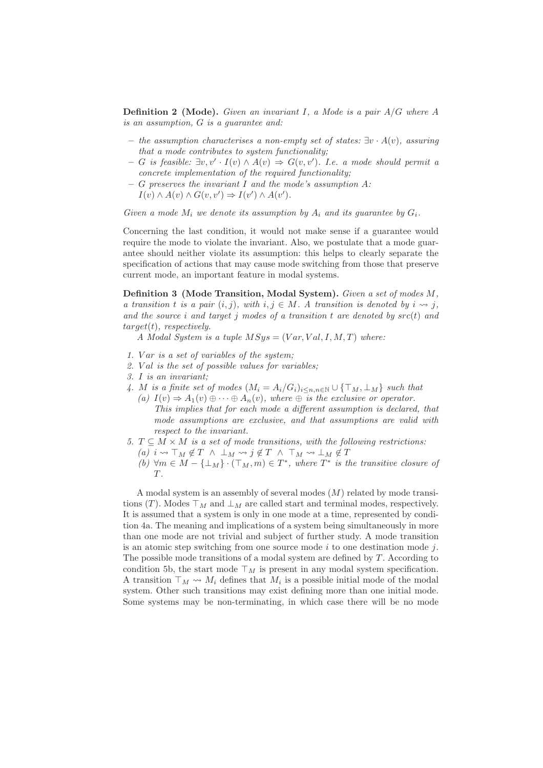Definition 2 (Mode). *Given an invariant* I*, a Mode is a pair* A/G *where* A *is an assumption,* G *is a guarantee and:*

- *the assumption characterises a non-empty set of states:* ∃v · A(v)*, assuring that a mode contributes to system functionality;*
- G *is feasible:* ∃v, v′ · I(v) ∧ A(v) ⇒ G(v, v′ )*. I.e. a mode should permit a concrete implementation of the required functionality;*
- G *preserves the invariant* I *and the mode's assumption* A*:*  $I(v) \wedge A(v) \wedge G(v, v') \Rightarrow I(v') \wedge A(v').$

*Given a mode*  $M_i$  *we denote its assumption by*  $A_i$  *and its guarantee by*  $G_i$ *.* 

Concerning the last condition, it would not make sense if a guarantee would require the mode to violate the invariant. Also, we postulate that a mode guarantee should neither violate its assumption: this helps to clearly separate the specification of actions that may cause mode switching from those that preserve current mode, an important feature in modal systems.

Definition 3 (Mode Transition, Modal System). *Given a set of modes* M*, a transition t is a pair*  $(i, j)$ *, with*  $i, j \in M$ *. A transition is denoted by*  $i \leadsto j$ *, and the source* i *and target* j *modes of a transition* t *are denoted by* src(t) *and* target(t)*, respectively.*

*A Modal System is a tuple*  $MSys = (Var, Val, I, M, T)$  *where:* 

- *1.* V ar *is a set of variables of the system;*
- *2.* V al *is the set of possible values for variables;*
- *3.* I *is an invariant;*
- 4. *M is a finite set of modes*  $(M_i = A_i/G_i)_{i \leq n, n \in \mathbb{N}} \cup {\{\top_M, \bot_M\}}$  *such that (a)*  $I(v) \Rightarrow A_1(v) \oplus \cdots \oplus A_n(v)$ *, where*  $\oplus$  *is the exclusive or operator.* 
	- *This implies that for each mode a different assumption is declared, that mode assumptions are exclusive, and that assumptions are valid with respect to the invariant.*

*5.*  $T \subseteq M \times M$  *is a set of mode transitions, with the following restrictions:* 

- $(a) i \leadsto \top_M \notin T \land \bot_M \leadsto j \notin T \land \top_M \leadsto \bot_M \notin T$
- $(b)$   $\forall m \in M \{\perp_M\} \cdot (\top_M, m) \in T^*$ , where  $T^*$  is the transitive closure of  $T$ .

A modal system is an assembly of several modes  $(M)$  related by mode transitions (T). Modes  $\top_M$  and  $\bot_M$  are called start and terminal modes, respectively. It is assumed that a system is only in one mode at a time, represented by condition 4a. The meaning and implications of a system being simultaneously in more than one mode are not trivial and subject of further study. A mode transition is an atomic step switching from one source mode  $i$  to one destination mode  $j$ . The possible mode transitions of a modal system are defined by  $T$ . According to condition 5b, the start mode  $\top_M$  is present in any modal system specification. A transition  $\Box_M \leadsto M_i$  defines that  $M_i$  is a possible initial mode of the modal system. Other such transitions may exist defining more than one initial mode. Some systems may be non-terminating, in which case there will be no mode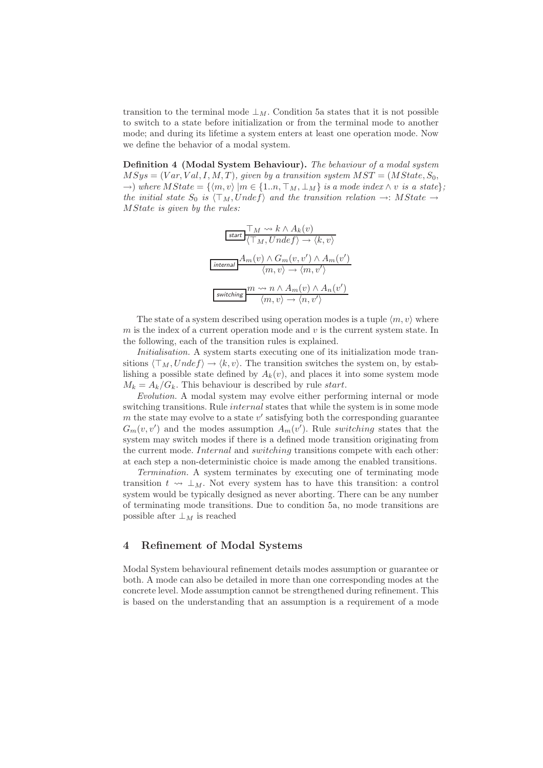transition to the terminal mode  $\perp_M$ . Condition 5a states that it is not possible to switch to a state before initialization or from the terminal mode to another mode; and during its lifetime a system enters at least one operation mode. Now we define the behavior of a modal system.

Definition 4 (Modal System Behaviour). *The behaviour of a modal system*  $MSys = (Var, Val, I, M, T)$ , given by a transition system  $MST = (MState, S_0,$  $\rightarrow$ ) where  $MState = \{(m, v) | m \in \{1..n, \top_M, \bot_M\}$  *is a mode index*  $\wedge v$  *is a state*}*; the initial state*  $S_0$  *is*  $\langle \top_M, Undef \rangle$  *and the transition relation*  $\rightarrow$ : *MState* → MState *is given by the rules:*

| Start    | $\frac{\top_M \rightsquigarrow k \land A_k(v)}{\langle \top_M, Undef \rangle \rightarrow \langle k, v \rangle}$ |
|----------|-----------------------------------------------------------------------------------------------------------------|
| internal | $A_m(v) \land G_m(v, v') \land A_m(v')$                                                                         |
| internal | $\frac{\land_m(v) \land G_m(v, v') \land A_m(v')}{\langle m, v \rangle \rightarrow \langle m, v' \rangle}$      |

The state of a system described using operation modes is a tuple  $\langle m, v \rangle$  where m is the index of a current operation mode and  $v$  is the current system state. In the following, each of the transition rules is explained.

*Initialisation.* A system starts executing one of its initialization mode transitions  $\langle \top_M, Undef \rangle \rightarrow \langle k, v \rangle$ . The transition switches the system on, by establishing a possible state defined by  $A_k(v)$ , and places it into some system mode  $M_k = A_k/G_k$ . This behaviour is described by rule start.

*Evolution.* A modal system may evolve either performing internal or mode switching transitions. Rule *internal* states that while the system is in some mode  $m$  the state may evolve to a state  $v'$  satisfying both the corresponding guarantee  $G_m(v, v')$  and the modes assumption  $A_m(v')$ . Rule switching states that the system may switch modes if there is a defined mode transition originating from the current mode. Internal and switching transitions compete with each other: at each step a non-deterministic choice is made among the enabled transitions.

*Termination.* A system terminates by executing one of terminating mode transition  $t \nightharpoonup \bot_M$ . Not every system has to have this transition: a control system would be typically designed as never aborting. There can be any number of terminating mode transitions. Due to condition 5a, no mode transitions are possible after  $\perp_M$  is reached

## 4 Refinement of Modal Systems

Modal System behavioural refinement details modes assumption or guarantee or both. A mode can also be detailed in more than one corresponding modes at the concrete level. Mode assumption cannot be strengthened during refinement. This is based on the understanding that an assumption is a requirement of a mode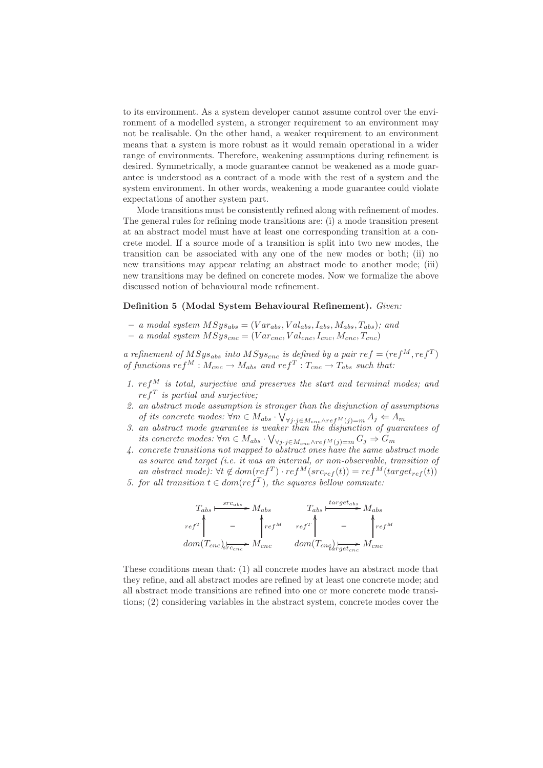to its environment. As a system developer cannot assume control over the environment of a modelled system, a stronger requirement to an environment may not be realisable. On the other hand, a weaker requirement to an environment means that a system is more robust as it would remain operational in a wider range of environments. Therefore, weakening assumptions during refinement is desired. Symmetrically, a mode guarantee cannot be weakened as a mode guarantee is understood as a contract of a mode with the rest of a system and the system environment. In other words, weakening a mode guarantee could violate expectations of another system part.

Mode transitions must be consistently refined along with refinement of modes. The general rules for refining mode transitions are: (i) a mode transition present at an abstract model must have at least one corresponding transition at a concrete model. If a source mode of a transition is split into two new modes, the transition can be associated with any one of the new modes or both; (ii) no new transitions may appear relating an abstract mode to another mode; (iii) new transitions may be defined on concrete modes. Now we formalize the above discussed notion of behavioural mode refinement.

#### Definition 5 (Modal System Behavioural Refinement). *Given:*

- $a$  modal system  $MSys_{abs} = (Var_{abs}, Val_{abs}, I_{abs}, M_{abs}, T_{abs})$ ; and
- $a \text{ modal system } MSys_{cnc} = (Var_{cnc}, Val_{cnc}, I_{cnc}, M_{cnc}, T_{cnc})$

*a refinement of*  $MSys_{abs}$  *into*  $MSys_{enc}$  *is defined by a pair*  $ref = (ref^M, ref^T)$ *of functions*  $ref^M : M_{cnc} \to M_{abs}$  *and*  $ref^T : T_{cnc} \to T_{abs}$  *such that:* 

- 1.  $ref^M$  *is total, surjective and preserves the start and terminal modes; and* ref<sup>T</sup> *is partial and surjective;*
- *2. an abstract mode assumption is stronger than the disjunction of assumptions of its concrete modes:*  $\forall m \in M_{abs} \cdot \bigvee_{\forall j \cdot j \in M_{cnc} \wedge ref^M(j)=m} A_j \Leftarrow A_m$
- *3. an abstract mode guarantee is weaker than the disjunction of guarantees of its concrete modes:*  $\forall m \in M_{abs} \cdot \bigvee_{\forall j \cdot j \in M_{cnc} \wedge ref^M(j) = m} G_j \Rightarrow G_m$
- *4. concrete transitions not mapped to abstract ones have the same abstract mode as source and target (i.e. it was an internal, or non-observable, transition of an abstract mode):*  $\forall t \notin dom(ref^T) \cdot ref^M(src_{ref}(t)) = ref^M(target_{ref}(t))$
- 5. for all transition  $t \in dom(ref^T)$ , the squares bellow commute:

$$
T_{abs} \xrightarrow{src_{abs}} M_{abs}
$$
\n
$$
r_{eff} \uparrow \qquad = \qquad \qquad \uparrow \qquad r_{eff} \uparrow \qquad = \qquad \qquad \uparrow \qquad r_{eff} \uparrow \qquad = \qquad \qquad \uparrow \qquad r_{eff} \uparrow \qquad = \qquad \qquad \uparrow \qquad r_{eff} \uparrow \qquad = \qquad \qquad \uparrow \qquad r_{eff} \uparrow \qquad = \qquad \qquad \downarrow \qquad r_{eff} \uparrow \qquad = \qquad \qquad \downarrow \qquad r_{eff} \uparrow \qquad = \qquad \qquad \downarrow \qquad r_{eff} \uparrow \qquad = \qquad \qquad \downarrow \qquad r_{eff} \uparrow \qquad = \qquad \qquad \downarrow \qquad r_{eff} \uparrow \qquad = \qquad \qquad \downarrow \qquad r_{eff} \uparrow \qquad = \qquad \qquad \downarrow \qquad r_{eff} \uparrow \qquad = \qquad \qquad \downarrow \qquad r_{eff} \uparrow \qquad = \qquad \qquad \downarrow \qquad r_{eff} \uparrow \qquad = \qquad \qquad \downarrow \qquad r_{eff} \uparrow \qquad = \qquad \qquad \downarrow \qquad r_{eff} \uparrow \qquad = \qquad \qquad \downarrow \qquad r_{eff} \uparrow \qquad = \qquad \qquad \downarrow \qquad r_{eff} \uparrow \qquad = \qquad \qquad \downarrow \qquad r_{eff} \uparrow \qquad = \qquad \qquad \downarrow \qquad r_{eff} \uparrow \qquad = \qquad \qquad \downarrow \qquad r_{eff} \uparrow \qquad = \qquad \qquad \downarrow \qquad r_{eff} \uparrow \qquad = \qquad \qquad \downarrow \qquad r_{eff} \uparrow \qquad = \qquad \qquad \downarrow \qquad r_{eff} \uparrow \qquad = \qquad \qquad \downarrow \qquad r_{eff} \uparrow \qquad = \qquad \qquad \downarrow \qquad r_{eff} \uparrow \qquad = \qquad \qquad \downarrow \qquad r_{eff} \uparrow \qquad = \qquad \qquad \downarrow \qquad r_{eff} \uparrow \qquad = \qquad \qquad \downarrow \qquad r_{eff} \uparrow \qquad = \qquad \qquad \downarrow \qquad r_{eff} \uparrow \qquad = \qquad \qquad \downarrow \qquad r_{eff} \uparrow \qquad = \qquad \qquad \downarrow \
$$

These conditions mean that: (1) all concrete modes have an abstract mode that they refine, and all abstract modes are refined by at least one concrete mode; and all abstract mode transitions are refined into one or more concrete mode transitions; (2) considering variables in the abstract system, concrete modes cover the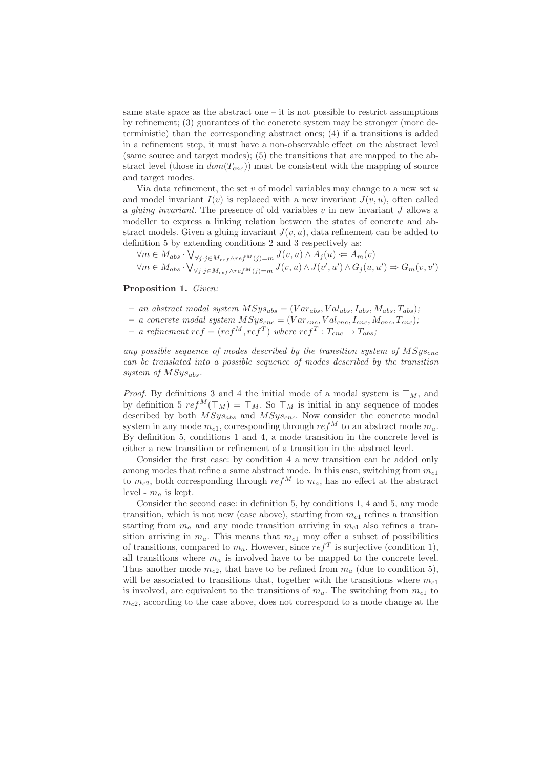same state space as the abstract one  $-$  it is not possible to restrict assumptions by refinement; (3) guarantees of the concrete system may be stronger (more deterministic) than the corresponding abstract ones; (4) if a transitions is added in a refinement step, it must have a non-observable effect on the abstract level (same source and target modes); (5) the transitions that are mapped to the abstract level (those in  $dom(T_{cnc})$ ) must be consistent with the mapping of source and target modes.

Via data refinement, the set v of model variables may change to a new set  $u$ and model invariant  $I(v)$  is replaced with a new invariant  $J(v, u)$ , often called a *gluing invariant*. The presence of old variables v in new invariant J allows a modeller to express a linking relation between the states of concrete and abstract models. Given a gluing invariant  $J(v, u)$ , data refinement can be added to definition 5 by extending conditions 2 and 3 respectively as:

$$
\forall m \in M_{abs} \cdot \bigvee_{\forall j \cdot j \in M_{ref} \land ref^M(j) = m} J(v, u) \land A_j(u) \Leftarrow A_m(v)
$$
  

$$
\forall m \in M_{abs} \cdot \bigvee_{\forall j \cdot j \in M_{ref} \land ref^M(j) = m} J(v, u) \land J(v', u') \land G_j(u, u') \Rightarrow G_m(v, v')
$$

## Proposition 1. *Given:*

- $-$  *an abstract modal system*  $MSys_{abs} = (Var_{abs}, Val_{abs}, I_{abs}, M_{abs}, T_{abs})$ ;
- $-$  *a concrete modal system*  $MSys_{cnc} = (Var_{cnc}, Val_{cnc}, I_{cnc}, M_{cnc}, T_{cnc})$ ;
- $-$  a refinement  $ref = (ref^M, ref^T)$  where  $ref^T : T_{cnc} \rightarrow T_{abs};$

any possible sequence of modes described by the transition system of  $MSys_{cnc}$ *can be translated into a possible sequence of modes described by the transition system of* MSysabs*.*

*Proof.* By definitions 3 and 4 the initial mode of a modal system is  $\top_M$ , and by definition 5  $ref^M(\top_M) = \top_M$ . So  $\top_M$  is initial in any sequence of modes described by both  $MSys_{abs}$  and  $MSys_{cnc}$ . Now consider the concrete modal system in any mode  $m_{c1}$ , corresponding through  $ref^{M}$  to an abstract mode  $m_{a}$ . By definition 5, conditions 1 and 4, a mode transition in the concrete level is either a new transition or refinement of a transition in the abstract level.

Consider the first case: by condition 4 a new transition can be added only among modes that refine a same abstract mode. In this case, switching from  $m_{c1}$ to  $m_{c2}$ , both corresponding through  $ref^M$  to  $m_a$ , has no effect at the abstract level -  $m_a$  is kept.

Consider the second case: in definition 5, by conditions 1, 4 and 5, any mode transition, which is not new (case above), starting from  $m_{c1}$  refines a transition starting from  $m_a$  and any mode transition arriving in  $m_{c1}$  also refines a transition arriving in  $m_a$ . This means that  $m_{c1}$  may offer a subset of possibilities of transitions, compared to  $m_a$ . However, since  $ref^T$  is surjective (condition 1), all transitions where  $m_a$  is involved have to be mapped to the concrete level. Thus another mode  $m_{c2}$ , that have to be refined from  $m_a$  (due to condition 5), will be associated to transitions that, together with the transitions where  $m_{c1}$ is involved, are equivalent to the transitions of  $m_a$ . The switching from  $m_{c1}$  to  $m_{c2}$ , according to the case above, does not correspond to a mode change at the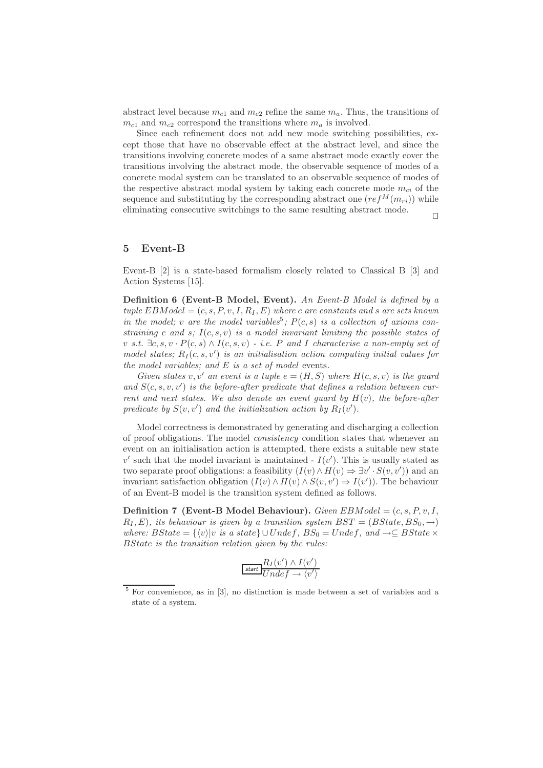abstract level because  $m_{c1}$  and  $m_{c2}$  refine the same  $m_a$ . Thus, the transitions of  $m_{c1}$  and  $m_{c2}$  correspond the transitions where  $m_a$  is involved.

Since each refinement does not add new mode switching possibilities, except those that have no observable effect at the abstract level, and since the transitions involving concrete modes of a same abstract mode exactly cover the transitions involving the abstract mode, the observable sequence of modes of a concrete modal system can be translated to an observable sequence of modes of the respective abstract modal system by taking each concrete mode  $m_{ci}$  of the sequence and substituting by the corresponding abstract one  $(ref^M(m_{ri}))$  while eliminating consecutive switchings to the same resulting abstract mode.

⊓⊔

## 5 Event-B

Event-B [2] is a state-based formalism closely related to Classical B [3] and Action Systems [15].

Definition 6 (Event-B Model, Event). *An Event-B Model is defined by a*  $tuple EBModel = (c, s, P, v, I, R_I, E) where c are constants and s are sets known$ *in the model; v* are the model variables<sup>5</sup>;  $P(c, s)$  *is a collection of axioms constraining* c and s;  $I(c, s, v)$  *is a model invariant limiting the possible states of*  $v$  *s.t.* ∃c,  $s, v \cdot P(c, s) \wedge I(c, s, v)$  *- i.e.* P and I characterise a non-empty set of  $model$  states;  $R_I(c, s, v')$  *is an initialisation action computing initial values for the model variables; and* E *is a set of model* events*.*

*Given states* v, v' an event is a tuple  $e = (H, S)$  where  $H(c, s, v)$  is the quard and  $S(c, s, v, v')$  is the before-after predicate that defines a relation between cur*rent and next states. We also denote an event guard by* H(v)*, the before-after* predicate by  $S(v, v')$  and the initialization action by  $R_I(v')$ .

Model correctness is demonstrated by generating and discharging a collection of proof obligations. The model *consistency* condition states that whenever an event on an initialisation action is attempted, there exists a suitable new state  $v'$  such that the model invariant is maintained -  $I(v')$ . This is usually stated as two separate proof obligations: a feasibility  $(I(v) \wedge H(v) \Rightarrow \exists v' \cdot S(v, v'))$  and an invariant satisfaction obligation  $(I(v) \wedge H(v) \wedge S(v, v') \Rightarrow I(v')$ . The behaviour of an Event-B model is the transition system defined as follows.

Definition 7 (Event-B Model Behaviour). *Given* EBModel = (c, s, P, v, I,  $R_I, E$ ), its behaviour is given by a transition system  $BST = (BState, BS_0, \rightarrow)$ *where:*  $BState = \{\langle v \rangle | v \text{ is a state} \} \cup Under, BS_0 = Under, and \rightarrow \subseteq BState \times$ BState *is the transition relation given by the rules:*

$$
\boxed{\text{start}}{R_I(v') \land I(v')}
$$

$$
\overline{U \cdot \text{ndef} \rightarrow \langle v' \rangle}
$$

<sup>5</sup> For convenience, as in [3], no distinction is made between a set of variables and a state of a system.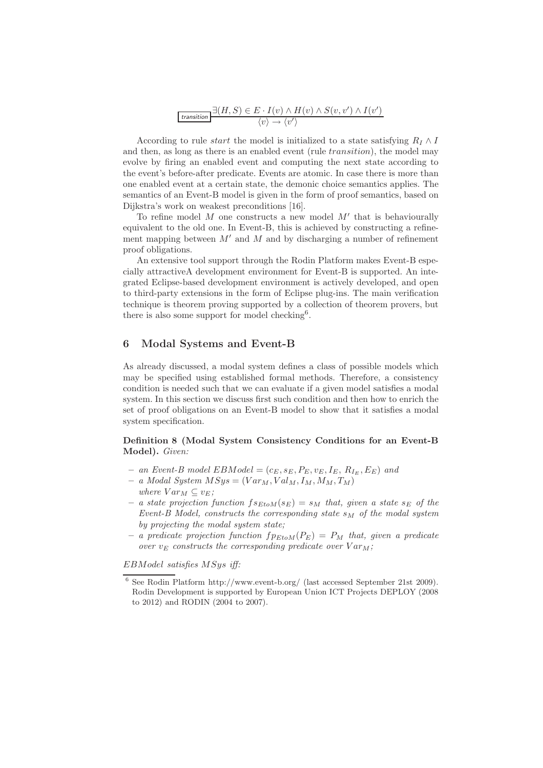$$
\boxed{\text{transition}} \frac{\exists (H, S) \in E \cdot I(v) \land H(v) \land S(v, v') \land I(v')}{\langle v \rangle \rightarrow \langle v' \rangle}
$$

According to rule *start* the model is initialized to a state satisfying  $R_I \wedge I$ and then, as long as there is an enabled event (rule *transition*), the model may evolve by firing an enabled event and computing the next state according to the event's before-after predicate. Events are atomic. In case there is more than one enabled event at a certain state, the demonic choice semantics applies. The semantics of an Event-B model is given in the form of proof semantics, based on Dijkstra's work on weakest preconditions [16].

To refine model  $M$  one constructs a new model  $M'$  that is behaviourally equivalent to the old one. In Event-B, this is achieved by constructing a refinement mapping between  $M'$  and  $M$  and by discharging a number of refinement proof obligations.

An extensive tool support through the Rodin Platform makes Event-B especially attractiveA development environment for Event-B is supported. An integrated Eclipse-based development environment is actively developed, and open to third-party extensions in the form of Eclipse plug-ins. The main verification technique is theorem proving supported by a collection of theorem provers, but there is also some support for model checking<sup>6</sup>.

## 6 Modal Systems and Event-B

As already discussed, a modal system defines a class of possible models which may be specified using established formal methods. Therefore, a consistency condition is needed such that we can evaluate if a given model satisfies a modal system. In this section we discuss first such condition and then how to enrich the set of proof obligations on an Event-B model to show that it satisfies a modal system specification.

## Definition 8 (Modal System Consistency Conditions for an Event-B Model). *Given:*

- $-$  *an Event-B model EBModel* =  $(c_E, s_E, P_E, v_E, I_E, R_{I_E}, E_E)$  *and*
- $a$  *Modal System MSys* = (Var<sub>M</sub>, Val<sub>M</sub>, I<sub>M</sub>,  $M_M$ , T<sub>M</sub>) *where*  $Var_M \subseteq v_E$ *;*
- $-$  *a state projection function*  $fs_{EtoM}(s_E) = s_M$  *that, given a state*  $s_E$  *of the Event-B Model, constructs the corresponding state*  $s_M$  *of the modal system by projecting the modal system state;*
- $-$  *a predicate projection function*  $fp_{EtOM}(P_E) = P_M$  *that, given a predicate over*  $v_E$  *constructs the corresponding predicate over*  $Var_M$ ;

EBModel *satisfies* MSys *iff:*

<sup>6</sup> See Rodin Platform http://www.event-b.org/ (last accessed September 21st 2009). Rodin Development is supported by European Union ICT Projects DEPLOY (2008 to 2012) and RODIN (2004 to 2007).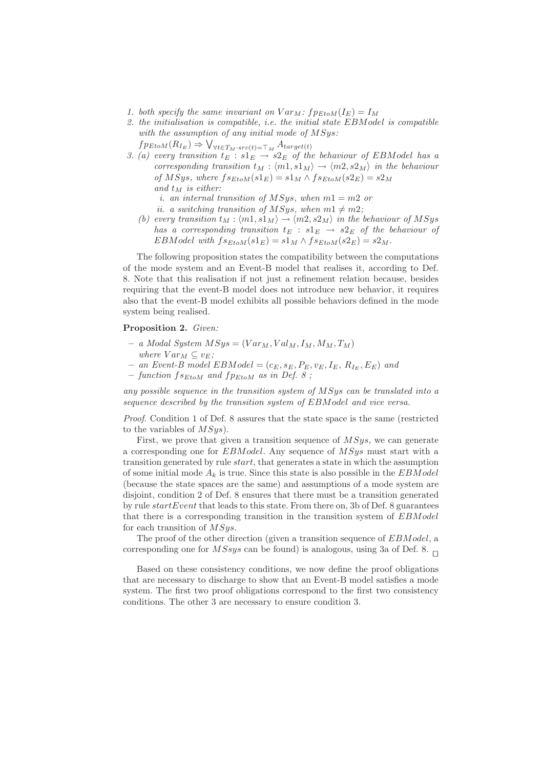- *1. both specify the same invariant on*  $Var_M$ :  $fp_{EtOM}(I_E) = I_M$
- *2. the initialisation is compatible, i.e. the initial state* EBModel *is compatible with the assumption of any initial mode of* MSys*:*

 $fp_{Etom}(R_{I_E}) \Rightarrow \bigvee_{\forall t \in T_M \cdot src(t) = \top_M} A_{target(t)}$ 

- *3.* (a) every transition  $t_E : s1_E \rightarrow s2_E$  of the behaviour of EBModel has a *corresponding transition*  $t_M : \langle m1, s1_M \rangle \rightarrow \langle m2, s2_M \rangle$  *in the behaviour of*  $MSys$ , where  $fs_{EtoM}(s1<sub>E</sub>) = s1<sub>M</sub> \wedge fs_{EtoM}(s2<sub>E</sub>) = s2<sub>M</sub>$ and  $t_M$  *is either:* 
	- *i.* an internal transition of MSys, when  $m1 = m2$  or
	- *ii. a switching transition of MSys, when*  $m1 \neq m2$ ;
	- *(b) every transition*  $t_M : \langle m1, s1_M \rangle \rightarrow \langle m2, s2_M \rangle$  *in the behaviour of MSys has a corresponding transition*  $t_E$  :  $s1_E \rightarrow s2_E$  *of the behaviour of*  $EBModel~with~fs_{EtoM}(s1<sub>E</sub>) = s1<sub>M</sub> \wedge fs_{EtoM}(s2<sub>E</sub>) = s2<sub>M</sub>.$

The following proposition states the compatibility between the computations of the mode system and an Event-B model that realises it, according to Def. 8. Note that this realisation if not just a refinement relation because, besides requiring that the event-B model does not introduce new behavior, it requires also that the event-B model exhibits all possible behaviors defined in the mode system being realised.

### Proposition 2. *Given:*

- $a$  *Modal System MSys* =  $(Var_M, Val_M, I_M, M_M, T_M)$ *where*  $Var_M \subseteq v_E$ *;*
- $-$  *an Event-B model EBModel* =  $(c_E, s_E, P_E, v_E, I_E, R_{I_E}, E_E)$  *and*
- $-$  *function*  $f_{\text{S}}f_{\text{t}}$  *and*  $f_{\text{P}}f_{\text{t}}$  *as in Def. 8 ;*

*any possible sequence in the transition system of* MSys *can be translated into a sequence described by the transition system of* EBModel *and vice versa.*

*Proof.* Condition 1 of Def. 8 assures that the state space is the same (restricted to the variables of  $MSys$ ).

First, we prove that given a transition sequence of  $MSys$ , we can generate a corresponding one for EBModel. Any sequence of MSys must start with a transition generated by rule start, that generates a state in which the assumption of some initial mode  $A_k$  is true. Since this state is also possible in the  $EBModel$ (because the state spaces are the same) and assumptions of a mode system are disjoint, condition 2 of Def. 8 ensures that there must be a transition generated by rule startEvent that leads to this state. From there on, 3b of Def. 8 guarantees that there is a corresponding transition in the transition system of  $EBModel$ for each transition of  $MSus$ .

The proof of the other direction (given a transition sequence of  $EBModel$ , a corresponding one for  $MSsys$  can be found) is analogous, using 3a of Def. 8.  $\Box$ 

Based on these consistency conditions, we now define the proof obligations that are necessary to discharge to show that an Event-B model satisfies a mode system. The first two proof obligations correspond to the first two consistency conditions. The other 3 are necessary to ensure condition 3.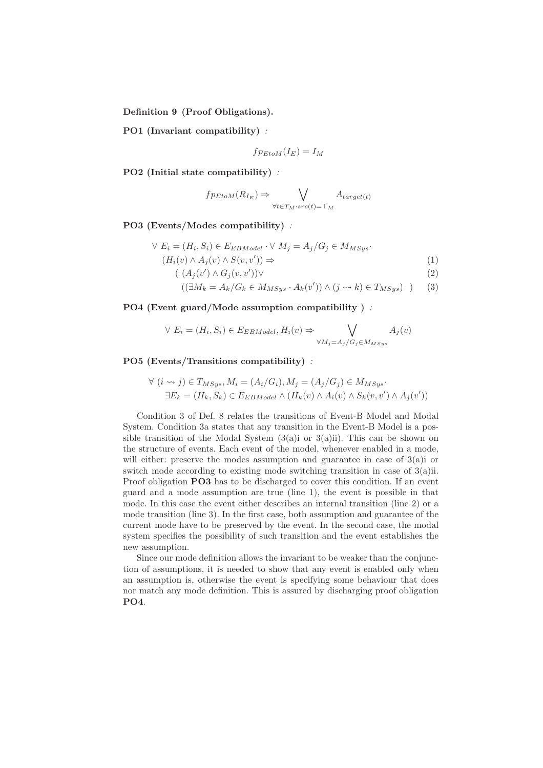Definition 9 (Proof Obligations).

PO1 (Invariant compatibility) *:*

$$
fp_{EtoM}(I_E) = I_M
$$

PO2 (Initial state compatibility) *:*

$$
fp_{Et\circ M}(R_{I_E}) \Rightarrow \bigvee_{\forall t \in T_M \cdot src(t) = \top_M} A_{target(t)}
$$

PO3 (Events/Modes compatibility) *:*

$$
\forall E_i = (H_i, S_i) \in E_{EBModel} \cdot \forall M_j = A_j / G_j \in M_{MSys}.
$$

$$
(H_i(v) \wedge A_j(v) \wedge S(v, v')) \Rightarrow \tag{1}
$$

$$
(\langle A_j(v') \wedge G_j(v, v') \rangle) \vee \tag{2}
$$

$$
((\exists M_k = A_k / G_k \in M_{MSys} \cdot A_k(v')) \land (j \rightsquigarrow k) \in T_{MSys}) \quad ) \tag{3}
$$

PO4 (Event guard/Mode assumption compatibility ) *:*

$$
\forall E_i = (H_i, S_i) \in E_{EBModel}, H_i(v) \Rightarrow \bigvee_{\forall M_j = A_j/G_j \in M_{MSys}} A_j(v)
$$

PO5 (Events/Transitions compatibility) *:*

$$
\forall (i \rightsquigarrow j) \in T_{MSys}, M_i = (A_i/G_i), M_j = (A_j/G_j) \in M_{MSys}.
$$
  

$$
\exists E_k = (H_k, S_k) \in E_{EBModel} \land (H_k(v) \land A_i(v) \land S_k(v, v') \land A_j(v'))
$$

Condition 3 of Def. 8 relates the transitions of Event-B Model and Modal System. Condition 3a states that any transition in the Event-B Model is a possible transition of the Modal System  $(3(a)i)$  or  $3(a)ii)$ . This can be shown on the structure of events. Each event of the model, whenever enabled in a mode, will either: preserve the modes assumption and guarantee in case of 3(a)i or switch mode according to existing mode switching transition in case of 3(a)ii. Proof obligation **PO3** has to be discharged to cover this condition. If an event guard and a mode assumption are true (line 1), the event is possible in that mode. In this case the event either describes an internal transition (line 2) or a mode transition (line 3). In the first case, both assumption and guarantee of the current mode have to be preserved by the event. In the second case, the modal system specifies the possibility of such transition and the event establishes the new assumption.

Since our mode definition allows the invariant to be weaker than the conjunction of assumptions, it is needed to show that any event is enabled only when an assumption is, otherwise the event is specifying some behaviour that does nor match any mode definition. This is assured by discharging proof obligation PO4.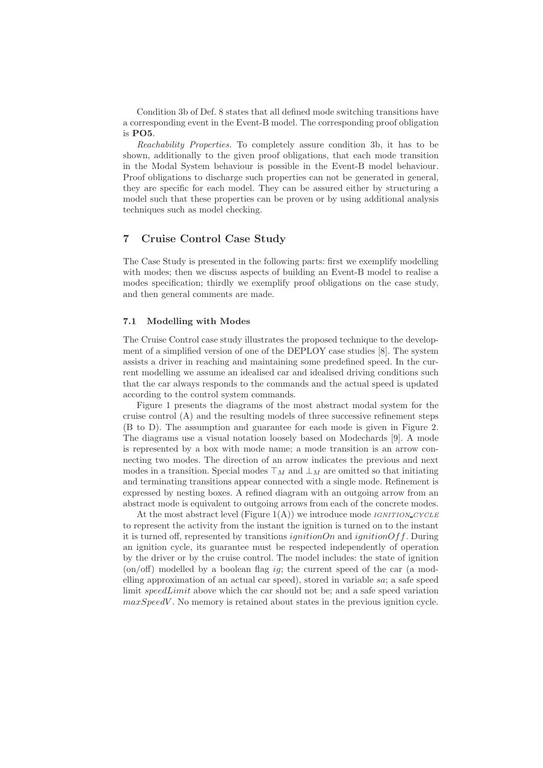Condition 3b of Def. 8 states that all defined mode switching transitions have a corresponding event in the Event-B model. The corresponding proof obligation is PO5.

*Reachability Properties.* To completely assure condition 3b, it has to be shown, additionally to the given proof obligations, that each mode transition in the Modal System behaviour is possible in the Event-B model behaviour. Proof obligations to discharge such properties can not be generated in general, they are specific for each model. They can be assured either by structuring a model such that these properties can be proven or by using additional analysis techniques such as model checking.

## 7 Cruise Control Case Study

The Case Study is presented in the following parts: first we exemplify modelling with modes; then we discuss aspects of building an Event-B model to realise a modes specification; thirdly we exemplify proof obligations on the case study, and then general comments are made.

### 7.1 Modelling with Modes

The Cruise Control case study illustrates the proposed technique to the development of a simplified version of one of the DEPLOY case studies [8]. The system assists a driver in reaching and maintaining some predefined speed. In the current modelling we assume an idealised car and idealised driving conditions such that the car always responds to the commands and the actual speed is updated according to the control system commands.

Figure 1 presents the diagrams of the most abstract modal system for the cruise control (A) and the resulting models of three successive refinement steps (B to D). The assumption and guarantee for each mode is given in Figure 2. The diagrams use a visual notation loosely based on Modechards [9]. A mode is represented by a box with mode name; a mode transition is an arrow connecting two modes. The direction of an arrow indicates the previous and next modes in a transition. Special modes  $\top_M$  and  $\bot_M$  are omitted so that initiating and terminating transitions appear connected with a single mode. Refinement is expressed by nesting boxes. A refined diagram with an outgoing arrow from an abstract mode is equivalent to outgoing arrows from each of the concrete modes.

At the most abstract level (Figure  $1(A)$ ) we introduce mode *IGNITION\_CYCLE* to represent the activity from the instant the ignition is turned on to the instant it is turned off, represented by transitions *ignitionOn* and *ignitionOff*. During an ignition cycle, its guarantee must be respected independently of operation by the driver or by the cruise control. The model includes: the state of ignition  $($ on/off) modelled by a boolean flag ig; the current speed of the car (a modelling approximation of an actual car speed), stored in variable sa; a safe speed limit speedLimit above which the car should not be; and a safe speed variation  $maxSpeedV$ . No memory is retained about states in the previous ignition cycle.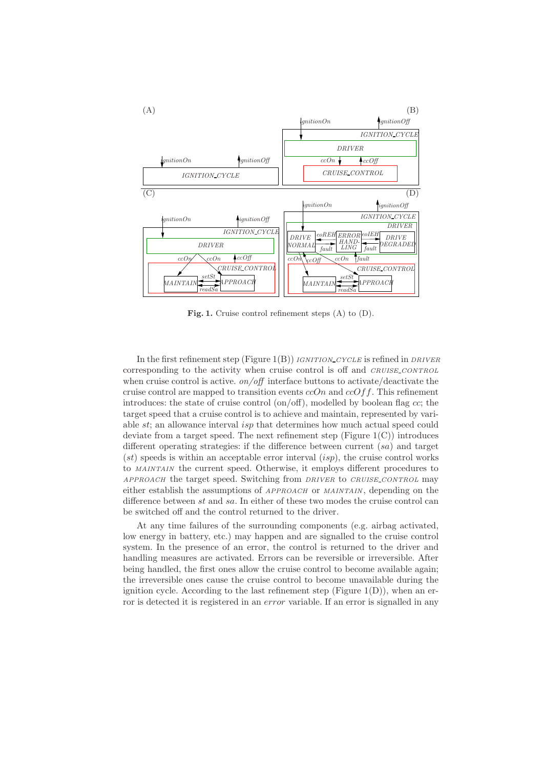

Fig. 1. Cruise control refinement steps (A) to (D).

In the first refinement step (Figure 1(B)) IGNITION CYCLE is refined in DRIVER corresponding to the activity when cruise control is off and *CRUISE CONTROL* when cruise control is active. *on/off* interface buttons to activate/deactivate the cruise control are mapped to transition events  $ccOn$  and  $ccOff$ . This refinement introduces: the state of cruise control (on/off), modelled by boolean flag  $cc$ ; the target speed that a cruise control is to achieve and maintain, represented by variable st; an allowance interval isp that determines how much actual speed could deviate from a target speed. The next refinement step (Figure  $1(C)$ ) introduces different operating strategies: if the difference between current (sa) and target  $(st)$  speeds is within an acceptable error interval  $(isp)$ , the cruise control works to MAINTAIN the current speed. Otherwise, it employs different procedures to APPROACH the target speed. Switching from DRIVER to CRUISE\_CONTROL may either establish the assumptions of APPROACH or MAINTAIN , depending on the difference between st and sa. In either of these two modes the cruise control can be switched off and the control returned to the driver.

At any time failures of the surrounding components (e.g. airbag activated, low energy in battery, etc.) may happen and are signalled to the cruise control system. In the presence of an error, the control is returned to the driver and handling measures are activated. Errors can be reversible or irreversible. After being handled, the first ones allow the cruise control to become available again; the irreversible ones cause the cruise control to become unavailable during the ignition cycle. According to the last refinement step (Figure  $1(D)$ ), when an error is detected it is registered in an *error* variable. If an error is signalled in any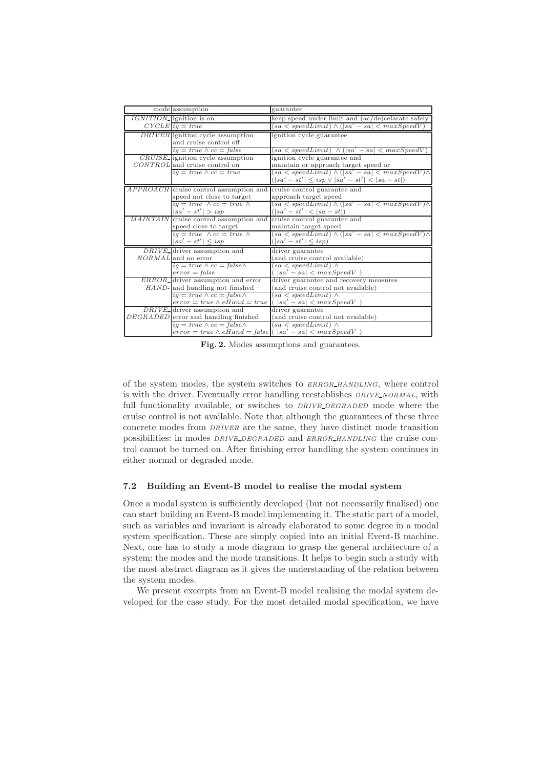|                 | mode assumption                                                   | guarantee                                                         |
|-----------------|-------------------------------------------------------------------|-------------------------------------------------------------------|
|                 | <i>IGNITION</i> ignition is on                                    | keep speed under limit and (ac/de)celarate safely                 |
|                 | $CYCLE$ $iq = true$                                               | $ sa \ltq speedLimit) \wedge ( sa' - sa  \ltq maxSpeedV)$         |
|                 | DRIVER ignition cycle assumption                                  | ignition cycle guarantee                                          |
|                 | and cruise control off                                            |                                                                   |
|                 | $ig = true \wedge cc = false$                                     | $ sa \lt speedLimit) \wedge ( sa' - sa  \lt maxSpeedV)$           |
|                 | $CRUISE$ ignition cycle assumption                                | ignition cycle guarantee and                                      |
|                 | $CONTROL$ and cruise control on                                   | maintain or approach target speed or                              |
|                 | $iq = true \wedge cc = true$                                      | $(sa < speedLimit) \wedge ( sa' - sa  < maxSpeedV) \wedge$        |
|                 |                                                                   | $( sa'-st'  \leq isp \vee  sa'-st'  <  sa-st )$                   |
|                 | <i>APPROACH</i> cruise control assumption and                     | cruise control guarantee and                                      |
|                 | speed not close to target                                         | approach target speed                                             |
|                 | $iq = true \wedge cc = true \wedge$                               | $(sa < speedLimit) \wedge ( sa' - sa  < maxSpeedV) \wedge$        |
|                 | $ sa' - st'  >$ isp                                               | $( sa' - st'  <  sa - st )$                                       |
| <b>MAINTAIN</b> | cruise control assumption and                                     | cruise control guarantee and                                      |
|                 | speed close to target                                             | maintain target speed                                             |
|                 | $iq = true \wedge cc = true \wedge$                               | $ sa \lt spec dLimit) \wedge ( sa' - sa  \lt max Speed V) \wedge$ |
|                 | $ sa' - st'  \leq isp$                                            | $( sa' - st'  \leq isp)$                                          |
|                 | $DRIVE$ -driver assumption and                                    | driver guarantee                                                  |
|                 | <i>NORMAL</i> and no error                                        | (and cruise control available)                                    |
|                 | $ig = true \wedge cc = false \wedge$                              | $(sa < speedLimit) \wedge$                                        |
|                 | $error = false$                                                   | $( sa'-sa  < maxSpeedV)$                                          |
|                 | ERROR driver assumption and error                                 | driver guarantee and recovery measures                            |
|                 | HAND- and handling not finished                                   | (and cruise control not available)                                |
|                 | $ig = true \wedge cc = false \wedge$                              | $sa < speedLimit) \wedge$                                         |
|                 | $error = true \wedge eHand = true$                                | $\left( sa'-sa $                                                  |
|                 | DRIVE_driver assumption and                                       | driver guarantee                                                  |
|                 | DEGRADED error and handling finished                              | and cruise control not available)                                 |
|                 | $iq = true \wedge cc = false \wedge$                              | $sa < speedLimit) \wedge$                                         |
|                 | $error = true \wedge eHand = false \mid ( sa' - sa  < maxSpeedV)$ |                                                                   |

Fig. 2. Modes assumptions and guarantees.

of the system modes, the system switches to ERROR HANDLING, where control is with the driver. Eventually error handling reestablishes DRIVE NORMAL, with full functionality available, or switches to *DRIVE-DEGRADED* mode where the cruise control is not available. Note that although the guarantees of these three concrete modes from DRIVER are the same, they have distinct mode transition possibilities: in modes DRIVE DEGRADED and ERROR HANDLING the cruise control cannot be turned on. After finishing error handling the system continues in either normal or degraded mode.

## 7.2 Building an Event-B model to realise the modal system

Once a modal system is sufficiently developed (but not necessarily finalised) one can start building an Event-B model implementing it. The static part of a model, such as variables and invariant is already elaborated to some degree in a modal system specification. These are simply copied into an initial Event-B machine. Next, one has to study a mode diagram to grasp the general architecture of a system: the modes and the mode transitions. It helps to begin such a study with the most abstract diagram as it gives the understanding of the relation between the system modes.

We present excerpts from an Event-B model realising the modal system developed for the case study. For the most detailed modal specification, we have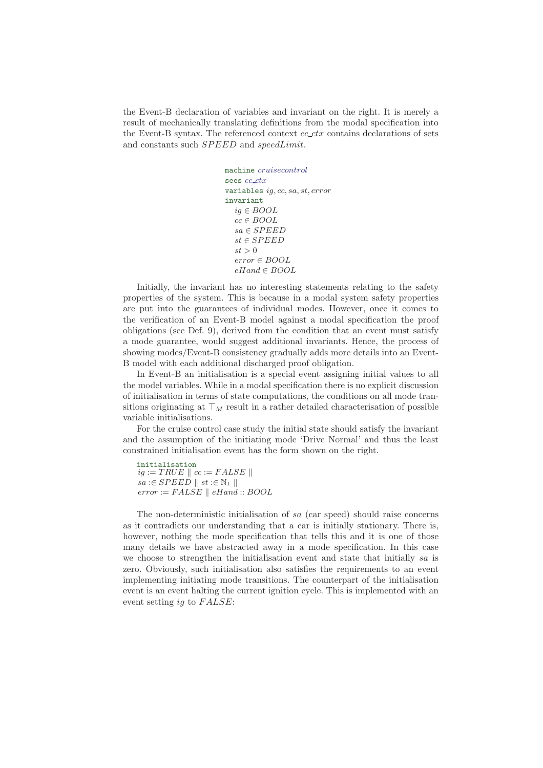the Event-B declaration of variables and invariant on the right. It is merely a result of mechanically translating definitions from the modal specification into the Event-B syntax. The referenced context  $cc\_ctx$  contains declarations of sets and constants such SPEED and speedLimit.

```
machine cruisecontrol
sees cc\_ctxvariables ig, cc, sa, st, error
invariant
  ig ∈ BOOL
  cc \in BOOLsa \in SPEEDst \in SPEEDst > 0error ∈ BOOL
  eHand \in BOOL
```
Initially, the invariant has no interesting statements relating to the safety properties of the system. This is because in a modal system safety properties are put into the guarantees of individual modes. However, once it comes to the verification of an Event-B model against a modal specification the proof obligations (see Def. 9), derived from the condition that an event must satisfy a mode guarantee, would suggest additional invariants. Hence, the process of showing modes/Event-B consistency gradually adds more details into an Event-B model with each additional discharged proof obligation.

In Event-B an initialisation is a special event assigning initial values to all the model variables. While in a modal specification there is no explicit discussion of initialisation in terms of state computations, the conditions on all mode transitions originating at  $\top_M$  result in a rather detailed characterisation of possible variable initialisations.

For the cruise control case study the initial state should satisfy the invariant and the assumption of the initiating mode 'Drive Normal' and thus the least constrained initialisation event has the form shown on the right.

initialisation  $ig := TRUE \parallel cc := FALSE \parallel$  $sa : \in SPEED \parallel st : \in \mathbb{N}_1 \parallel$  $error := FALSE \parallel eHand :: BOOL$ 

The non-deterministic initialisation of sa (car speed) should raise concerns as it contradicts our understanding that a car is initially stationary. There is, however, nothing the mode specification that tells this and it is one of those many details we have abstracted away in a mode specification. In this case we choose to strengthen the initialisation event and state that initially sa is zero. Obviously, such initialisation also satisfies the requirements to an event implementing initiating mode transitions. The counterpart of the initialisation event is an event halting the current ignition cycle. This is implemented with an event setting ig to FALSE: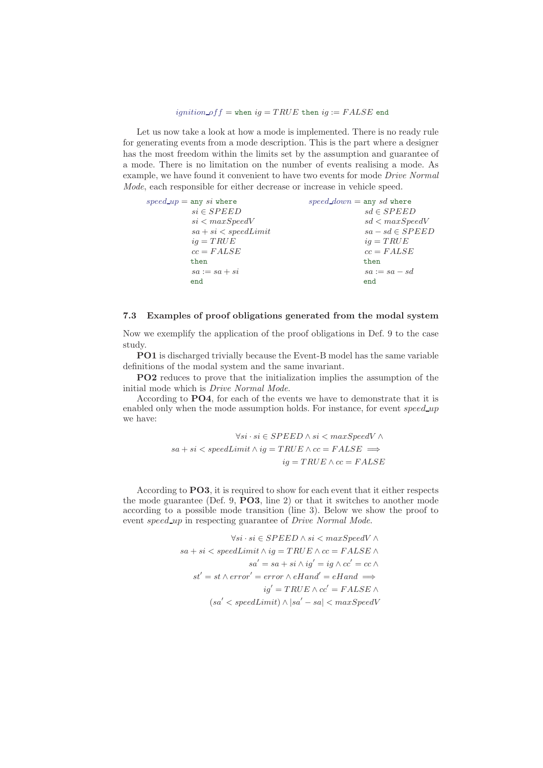#### *ignition\_off* = when  $ig = TRUE$  then  $ig := FALSE$  end

Let us now take a look at how a mode is implemented. There is no ready rule for generating events from a mode description. This is the part where a designer has the most freedom within the limits set by the assumption and guarantee of a mode. There is no limitation on the number of events realising a mode. As example, we have found it convenient to have two events for mode *Drive Normal Mode*, each responsible for either decrease or increase in vehicle speed.

| $speed\_up = \text{any } si \text{ where}$ | speed_down = any sd where |
|--------------------------------------------|---------------------------|
| $si \in SPEED$                             | $sd \in SPEED$            |
| si < maxSpeedV                             | sd < maxSpeedV            |
| $sa + si < speedLimit$                     | $sa - sd \in SPEED$       |
| $iq = TRUE$                                | $iq = TRUE$               |
| $cc = FALSE$                               | $cc = FALSE$              |
| then                                       | then                      |
| $sa := sa + si$                            | $sa := sa - sd$           |
| end                                        | end                       |
|                                            |                           |

## 7.3 Examples of proof obligations generated from the modal system

Now we exemplify the application of the proof obligations in Def. 9 to the case study.

PO1 is discharged trivially because the Event-B model has the same variable definitions of the modal system and the same invariant.

PO2 reduces to prove that the initialization implies the assumption of the initial mode which is *Drive Normal Mode*.

According to PO4, for each of the events we have to demonstrate that it is enabled only when the mode assumption holds. For instance, for event speed up we have:

> $\forall si \cdot si \in SPEED \land si < maxSpeedV \land$  $sa + si < speedLimit \wedge ig = TRUE \wedge cc = FALSE \implies$  $iq = TRUE \wedge cc = FALSE$

According to PO3, it is required to show for each event that it either respects the mode guarantee (Def. 9,  $\overline{P}O3$ , line 2) or that it switches to another mode according to a possible mode transition (line 3). Below we show the proof to event speed up in respecting guarantee of *Drive Normal Mode*.

> $\forall si \cdot si \in SPEED \land si < maxSpeedV \land$  $sa + si < speedLimit \wedge ig = TRUE \wedge cc = FALSE \wedge$  $sa' = sa + si \wedge ig' = ig \wedge cc' = cc \wedge$  $st' = st \wedge error' = error \wedge eHand' = eHand \implies$  $ig' = TRUE \wedge cc' = FALSE \wedge$  $(sa' < speedLimit) \wedge |sa' - sa| < maxSpeed$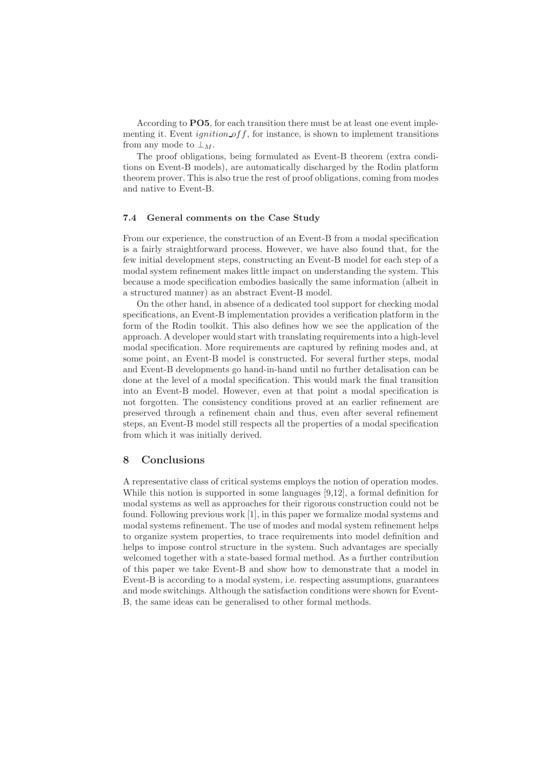According to PO5, for each transition there must be at least one event implementing it. Event *ignition of f*, for instance, is shown to implement transitions from any mode to  $\perp_M$ .

The proof obligations, being formulated as Event-B theorem (extra conditions on Event-B models), are automatically discharged by the Rodin platform theorem prover. This is also true the rest of proof obligations, coming from modes and native to Event-B.

### 7.4 General comments on the Case Study

From our experience, the construction of an Event-B from a modal specification is a fairly straightforward process. However, we have also found that, for the few initial development steps, constructing an Event-B model for each step of a modal system refinement makes little impact on understanding the system. This because a mode specification embodies basically the same information (albeit in a structured manner) as an abstract Event-B model.

On the other hand, in absence of a dedicated tool support for checking modal specifications, an Event-B implementation provides a verification platform in the form of the Rodin toolkit. This also defines how we see the application of the approach. A developer would start with translating requirements into a high-level modal specification. More requirements are captured by refining modes and, at some point, an Event-B model is constructed. For several further steps, modal and Event-B developments go hand-in-hand until no further detalisation can be done at the level of a modal specification. This would mark the final transition into an Event-B model. However, even at that point a modal specification is not forgotten. The consistency conditions proved at an earlier refinement are preserved through a refinement chain and thus, even after several refinement steps, an Event-B model still respects all the properties of a modal specification from which it was initially derived.

## 8 Conclusions

A representative class of critical systems employs the notion of operation modes. While this notion is supported in some languages [9,12], a formal definition for modal systems as well as approaches for their rigorous construction could not be found. Following previous work [1], in this paper we formalize modal systems and modal systems refinement. The use of modes and modal system refinement helps to organize system properties, to trace requirements into model definition and helps to impose control structure in the system. Such advantages are specially welcomed together with a state-based formal method. As a further contribution of this paper we take Event-B and show how to demonstrate that a model in Event-B is according to a modal system, i.e. respecting assumptions, guarantees and mode switchings. Although the satisfaction conditions were shown for Event-B, the same ideas can be generalised to other formal methods.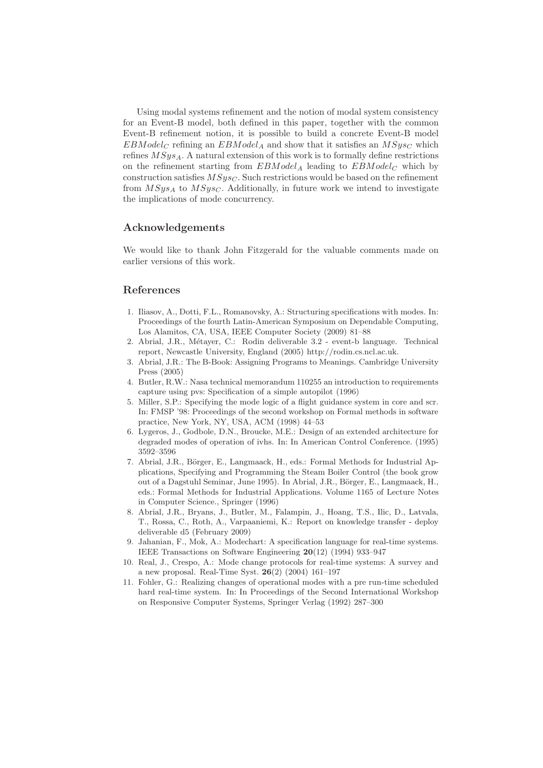Using modal systems refinement and the notion of modal system consistency for an Event-B model, both defined in this paper, together with the common Event-B refinement notion, it is possible to build a concrete Event-B model  $EBModel_C$  refining an  $EBModel_A$  and show that it satisfies an  $MSys_C$  which refines  $MSys_A$ . A natural extension of this work is to formally define restrictions on the refinement starting from  $EBModel_A$  leading to  $EBModel_C$  which by construction satisfies  $MSys<sub>C</sub>$ . Such restrictions would be based on the refinement from  $MSys_A$  to  $MSys_C$ . Additionally, in future work we intend to investigate the implications of mode concurrency.

## Acknowledgements

We would like to thank John Fitzgerald for the valuable comments made on earlier versions of this work.

## References

- 1. Iliasov, A., Dotti, F.L., Romanovsky, A.: Structuring specifications with modes. In: Proceedings of the fourth Latin-American Symposium on Dependable Computing, Los Alamitos, CA, USA, IEEE Computer Society (2009) 81–88
- 2. Abrial, J.R., M´etayer, C.: Rodin deliverable 3.2 event-b language. Technical report, Newcastle University, England (2005) http://rodin.cs.ncl.ac.uk.
- 3. Abrial, J.R.: The B-Book: Assigning Programs to Meanings. Cambridge University Press (2005)
- 4. Butler, R.W.: Nasa technical memorandum 110255 an introduction to requirements capture using pvs: Specification of a simple autopilot (1996)
- 5. Miller, S.P.: Specifying the mode logic of a flight guidance system in core and scr. In: FMSP '98: Proceedings of the second workshop on Formal methods in software practice, New York, NY, USA, ACM (1998) 44–53
- 6. Lygeros, J., Godbole, D.N., Broucke, M.E.: Design of an extended architecture for degraded modes of operation of ivhs. In: In American Control Conference. (1995) 3592–3596
- 7. Abrial, J.R., Börger, E., Langmaack, H., eds.: Formal Methods for Industrial Applications, Specifying and Programming the Steam Boiler Control (the book grow out of a Dagstuhl Seminar, June 1995). In Abrial, J.R., Börger, E., Langmaack, H., eds.: Formal Methods for Industrial Applications. Volume 1165 of Lecture Notes in Computer Science., Springer (1996)
- 8. Abrial, J.R., Bryans, J., Butler, M., Falampin, J., Hoang, T.S., Ilic, D., Latvala, T., Rossa, C., Roth, A., Varpaaniemi, K.: Report on knowledge transfer - deploy deliverable d5 (February 2009)
- 9. Jahanian, F., Mok, A.: Modechart: A specification language for real-time systems. IEEE Transactions on Software Engineering 20(12) (1994) 933–947
- 10. Real, J., Crespo, A.: Mode change protocols for real-time systems: A survey and a new proposal. Real-Time Syst. 26(2) (2004) 161–197
- 11. Fohler, G.: Realizing changes of operational modes with a pre run-time scheduled hard real-time system. In: In Proceedings of the Second International Workshop on Responsive Computer Systems, Springer Verlag (1992) 287–300